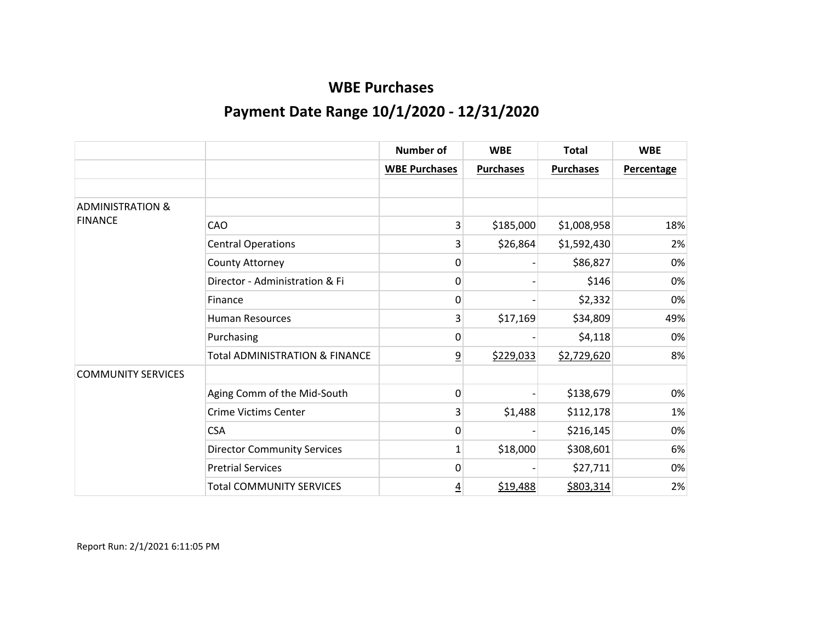|                             |                                           | <b>Number of</b>     | <b>WBE</b>       | <b>Total</b>     | <b>WBE</b> |
|-----------------------------|-------------------------------------------|----------------------|------------------|------------------|------------|
|                             |                                           | <b>WBE Purchases</b> | <b>Purchases</b> | <b>Purchases</b> | Percentage |
|                             |                                           |                      |                  |                  |            |
| <b>ADMINISTRATION &amp;</b> |                                           |                      |                  |                  |            |
| <b>FINANCE</b>              | CAO                                       | 3                    | \$185,000        | \$1,008,958      | 18%        |
|                             | <b>Central Operations</b>                 | 3                    | \$26,864         | \$1,592,430      | 2%         |
|                             | County Attorney                           | 0                    |                  | \$86,827         | 0%         |
|                             | Director - Administration & Fi            | 0                    |                  | \$146            | 0%         |
|                             | Finance                                   | 0                    |                  | \$2,332          | 0%         |
|                             | <b>Human Resources</b>                    | 3                    | \$17,169         | \$34,809         | 49%        |
|                             | Purchasing                                | 0                    |                  | \$4,118          | 0%         |
|                             | <b>Total ADMINISTRATION &amp; FINANCE</b> | $\overline{9}$       | \$229,033        | \$2,729,620      | 8%         |
| <b>COMMUNITY SERVICES</b>   |                                           |                      |                  |                  |            |
|                             | Aging Comm of the Mid-South               | $\Omega$             |                  | \$138,679        | 0%         |
|                             | <b>Crime Victims Center</b>               | 3                    | \$1,488          | \$112,178        | 1%         |
|                             | <b>CSA</b>                                | 0                    |                  | \$216,145        | 0%         |
|                             | <b>Director Community Services</b>        | $\mathbf{1}$         | \$18,000         | \$308,601        | 6%         |
|                             | <b>Pretrial Services</b>                  | 0                    |                  | \$27,711         | 0%         |
|                             | <b>Total COMMUNITY SERVICES</b>           | <u>4</u>             | \$19,488         | \$803,314        | 2%         |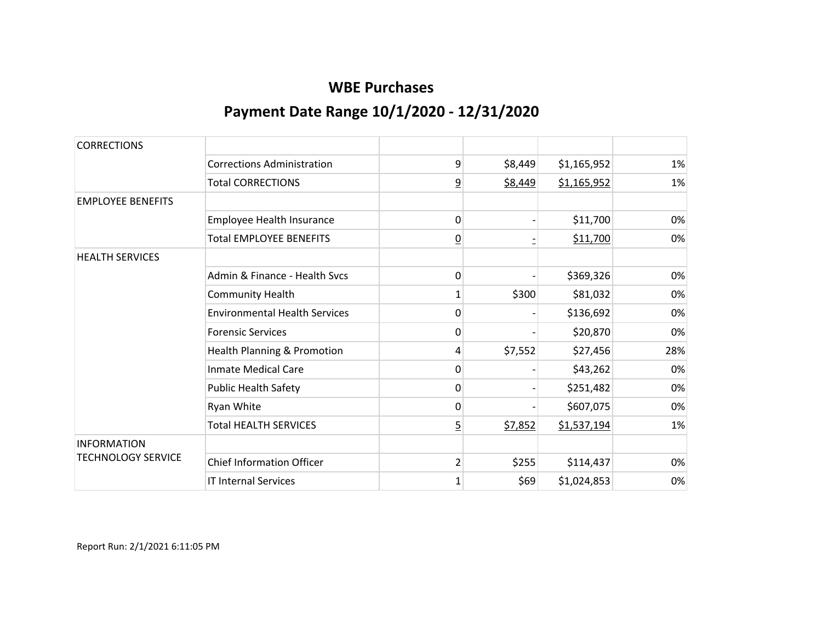| <b>CORRECTIONS</b>        |                                      |                |         |             |     |
|---------------------------|--------------------------------------|----------------|---------|-------------|-----|
|                           | <b>Corrections Administration</b>    | 9              | \$8,449 | \$1,165,952 | 1%  |
|                           | <b>Total CORRECTIONS</b>             | $\overline{9}$ | \$8,449 | \$1,165,952 | 1%  |
| <b>EMPLOYEE BENEFITS</b>  |                                      |                |         |             |     |
|                           | Employee Health Insurance            | 0              |         | \$11,700    | 0%  |
|                           | <b>Total EMPLOYEE BENEFITS</b>       | <u>0</u>       |         | \$11,700    | 0%  |
| <b>HEALTH SERVICES</b>    |                                      |                |         |             |     |
|                           | Admin & Finance - Health Sycs        | 0              |         | \$369,326   | 0%  |
|                           | <b>Community Health</b>              | 1              | \$300   | \$81,032    | 0%  |
|                           | <b>Environmental Health Services</b> | 0              |         | \$136,692   | 0%  |
|                           | <b>Forensic Services</b>             | 0              |         | \$20,870    | 0%  |
|                           | Health Planning & Promotion          | 4              | \$7,552 | \$27,456    | 28% |
|                           | <b>Inmate Medical Care</b>           | 0              |         | \$43,262    | 0%  |
|                           | <b>Public Health Safety</b>          | 0              |         | \$251,482   | 0%  |
|                           | Ryan White                           | 0              |         | \$607,075   | 0%  |
|                           | <b>Total HEALTH SERVICES</b>         | $\overline{5}$ | \$7,852 | \$1,537,194 | 1%  |
| <b>INFORMATION</b>        |                                      |                |         |             |     |
| <b>TECHNOLOGY SERVICE</b> | <b>Chief Information Officer</b>     | $\overline{2}$ | \$255   | \$114,437   | 0%  |
|                           | <b>IT Internal Services</b>          | $\mathbf{1}$   | \$69    | \$1,024,853 | 0%  |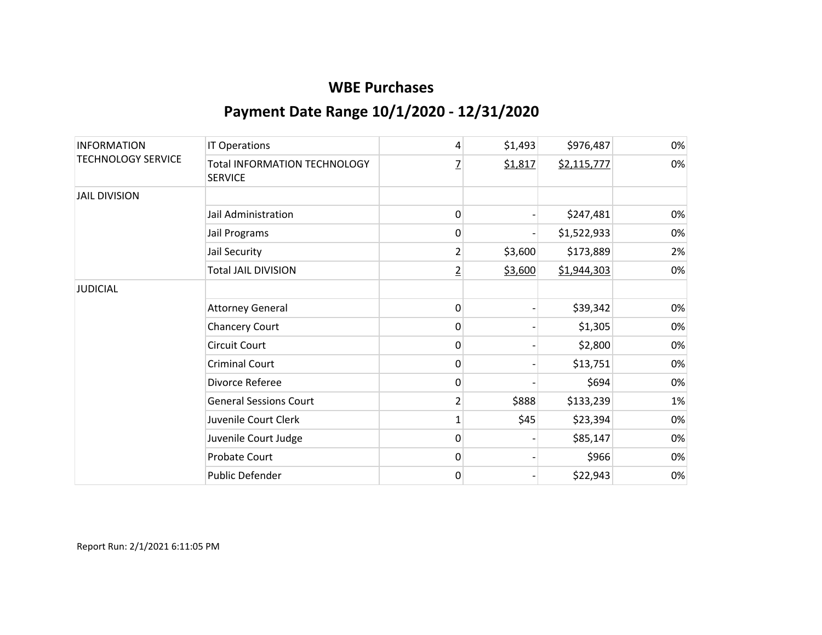| <b>INFORMATION</b><br><b>TECHNOLOGY SERVICE</b> | <b>IT Operations</b>                                  | 4              | \$1,493 | \$976,487   | 0% |
|-------------------------------------------------|-------------------------------------------------------|----------------|---------|-------------|----|
|                                                 | <b>Total INFORMATION TECHNOLOGY</b><br><b>SERVICE</b> | 7              | \$1,817 | \$2,115,777 | 0% |
| <b>JAIL DIVISION</b>                            |                                                       |                |         |             |    |
|                                                 | Jail Administration                                   | 0              |         | \$247,481   | 0% |
|                                                 | Jail Programs                                         | 0              |         | \$1,522,933 | 0% |
|                                                 | Jail Security                                         | 2              | \$3,600 | \$173,889   | 2% |
|                                                 | <b>Total JAIL DIVISION</b>                            | $\overline{2}$ | \$3,600 | \$1,944,303 | 0% |
| <b>JUDICIAL</b>                                 |                                                       |                |         |             |    |
|                                                 | <b>Attorney General</b>                               | 0              |         | \$39,342    | 0% |
|                                                 | Chancery Court                                        | 0              |         | \$1,305     | 0% |
|                                                 | Circuit Court                                         | 0              |         | \$2,800     | 0% |
|                                                 | <b>Criminal Court</b>                                 | 0              |         | \$13,751    | 0% |
|                                                 | Divorce Referee                                       | 0              |         | \$694       | 0% |
|                                                 | <b>General Sessions Court</b>                         | 2              | \$888   | \$133,239   | 1% |
|                                                 | Juvenile Court Clerk                                  | $\mathbf{1}$   | \$45    | \$23,394    | 0% |
|                                                 | Juvenile Court Judge                                  | 0              |         | \$85,147    | 0% |
|                                                 | Probate Court                                         | 0              |         | \$966       | 0% |
|                                                 | Public Defender                                       | 0              |         | \$22,943    | 0% |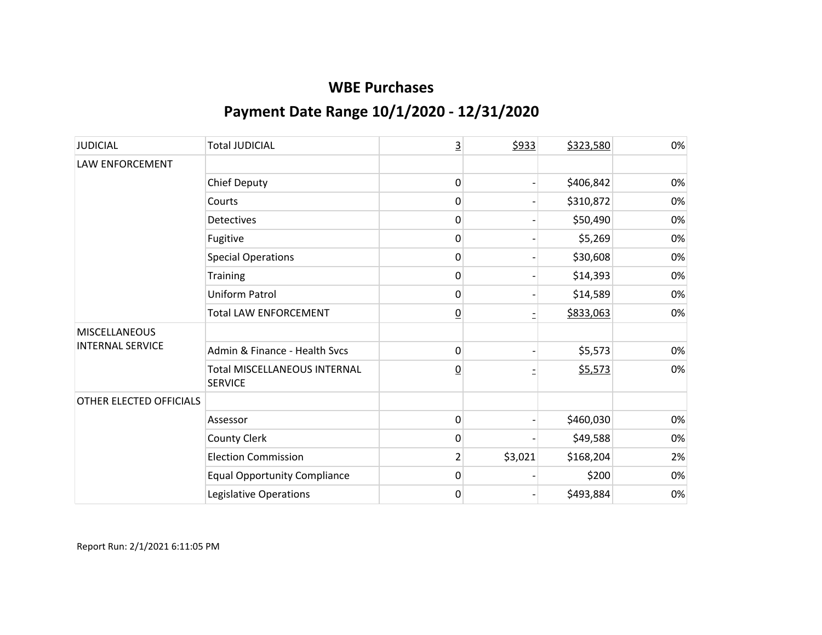| <b>JUDICIAL</b>                                 | <b>Total JUDICIAL</b>                                 | $\overline{3}$  | \$933   | \$323,580 | 0% |
|-------------------------------------------------|-------------------------------------------------------|-----------------|---------|-----------|----|
| LAW ENFORCEMENT                                 |                                                       |                 |         |           |    |
|                                                 | <b>Chief Deputy</b>                                   | 0               |         | \$406,842 | 0% |
|                                                 | Courts                                                | 0               |         | \$310,872 | 0% |
|                                                 | <b>Detectives</b>                                     | 0               |         | \$50,490  | 0% |
|                                                 | Fugitive                                              | 0               |         | \$5,269   | 0% |
|                                                 | <b>Special Operations</b>                             | 0               |         | \$30,608  | 0% |
|                                                 | Training                                              | 0               |         | \$14,393  | 0% |
|                                                 | <b>Uniform Patrol</b>                                 | 0               |         | \$14,589  | 0% |
|                                                 | <b>Total LAW ENFORCEMENT</b>                          | $\underline{0}$ |         | \$833,063 | 0% |
| <b>MISCELLANEOUS</b><br><b>INTERNAL SERVICE</b> |                                                       |                 |         |           |    |
|                                                 | Admin & Finance - Health Svcs                         | 0               |         | \$5,573   | 0% |
|                                                 | <b>Total MISCELLANEOUS INTERNAL</b><br><b>SERVICE</b> | $\underline{0}$ |         | \$5,573   | 0% |
| OTHER ELECTED OFFICIALS                         |                                                       |                 |         |           |    |
|                                                 | Assessor                                              | $\pmb{0}$       |         | \$460,030 | 0% |
|                                                 | <b>County Clerk</b>                                   | 0               |         | \$49,588  | 0% |
|                                                 | <b>Election Commission</b>                            | $\overline{2}$  | \$3,021 | \$168,204 | 2% |
|                                                 | <b>Equal Opportunity Compliance</b>                   | 0               |         | \$200     | 0% |
|                                                 | Legislative Operations                                | 0               |         | \$493,884 | 0% |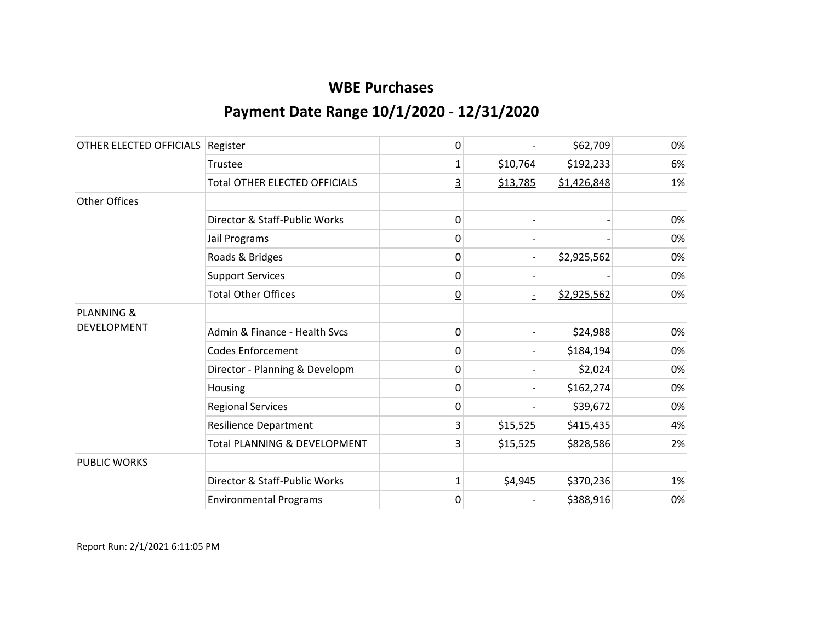| OTHER ELECTED OFFICIALS | Register                             | 0               |          | \$62,709    | 0% |
|-------------------------|--------------------------------------|-----------------|----------|-------------|----|
|                         | Trustee                              | 1               | \$10,764 | \$192,233   | 6% |
|                         | <b>Total OTHER ELECTED OFFICIALS</b> | $\overline{3}$  | \$13,785 | \$1,426,848 | 1% |
| Other Offices           |                                      |                 |          |             |    |
|                         | Director & Staff-Public Works        | 0               |          |             | 0% |
|                         | Jail Programs                        | 0               |          |             | 0% |
|                         | Roads & Bridges                      | 0               |          | \$2,925,562 | 0% |
|                         | <b>Support Services</b>              | 0               |          |             | 0% |
|                         | <b>Total Other Offices</b>           | $\underline{0}$ |          | \$2,925,562 | 0% |
| <b>PLANNING &amp;</b>   |                                      |                 |          |             |    |
| DEVELOPMENT             | Admin & Finance - Health Svcs        | 0               |          | \$24,988    | 0% |
|                         | <b>Codes Enforcement</b>             | 0               |          | \$184,194   | 0% |
|                         | Director - Planning & Developm       | 0               |          | \$2,024     | 0% |
|                         | Housing                              | 0               |          | \$162,274   | 0% |
|                         | <b>Regional Services</b>             | 0               |          | \$39,672    | 0% |
|                         | <b>Resilience Department</b>         | 3               | \$15,525 | \$415,435   | 4% |
|                         | Total PLANNING & DEVELOPMENT         | 3               | \$15,525 | \$828,586   | 2% |
| <b>PUBLIC WORKS</b>     |                                      |                 |          |             |    |
|                         | Director & Staff-Public Works        | $\mathbf{1}$    | \$4,945  | \$370,236   | 1% |
|                         | <b>Environmental Programs</b>        | 0               |          | \$388,916   | 0% |